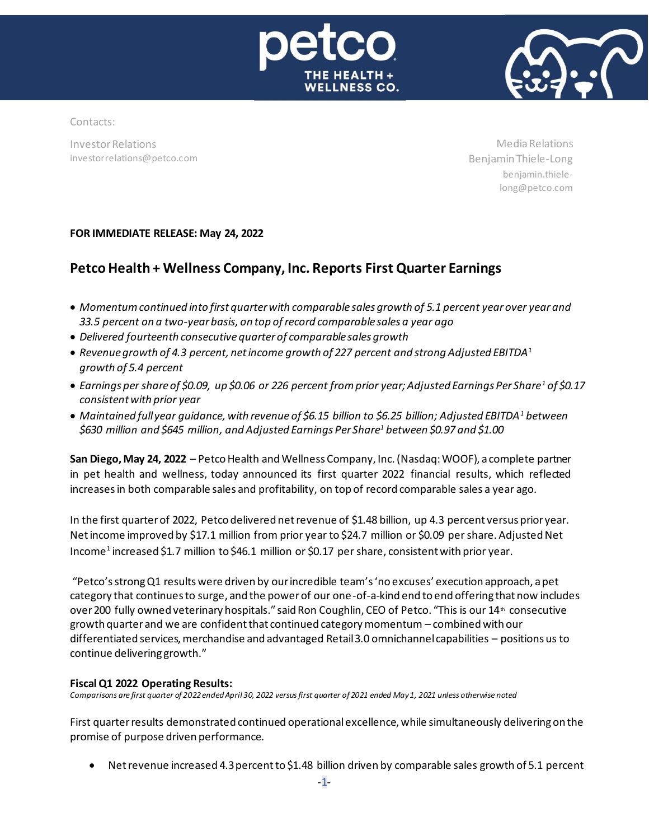



Contacts:

Investor Relations investorrelations@petco.com

Media Relations Benjamin Thiele-Long benjamin.thielelong@petco.com

# **FOR IMMEDIATE RELEASE: May 24, 2022**

# **Petco Health + Wellness Company, Inc. Reports First Quarter Earnings**

- *Momentum continued into first quarter with comparable sales growth of 5.1 percent year over year and 33.5 percent on a two-year basis, on top of record comparable sales a year ago*
- *Delivered fourteenth consecutive quarter of comparable sales growth*
- *Revenue growth of 4.3 percent, net income growth of 227 percent and strong Adjusted EBITDA<sup>1</sup> growth of 5.4 percent*
- *Earnings per share of \$0.09, up \$0.06 or 226 percent from prior year; Adjusted Earnings Per Share<sup>1</sup> of \$0.17 consistentwith prior year*
- *Maintained full year guidance, with revenue of \$6.15 billion to \$6.25 billion; Adjusted EBITDA<sup>1</sup> between \$630 million and \$645 million, and Adjusted Earnings Per Share<sup>1</sup> between \$0.97 and \$1.00*

**San Diego, May 24, 2022** – Petco Health and Wellness Company, Inc. (Nasdaq: WOOF), a complete partner in pet health and wellness, today announced its first quarter 2022 financial results, which reflected increases in both comparable sales and profitability, on top of record comparable sales a year ago.

In the first quarter of 2022, Petco delivered net revenue of \$1.48 billion, up 4.3 percent versus prior year. Net income improved by \$17.1 million from prior year to \$24.7 million or \$0.09 per share. Adjusted Net Income<sup>1</sup> increased \$1.7 million to \$46.1 million or \$0.17 per share, consistent with prior year.

"Petco's strong Q1 results were driven by our incredible team's 'no excuses' execution approach, a pet category that continues to surge, and the power of our one-of-a-kind end to end offering that now includes over 200 fully owned veterinary hospitals." said Ron Coughlin, CEO of Petco. "This is our  $14*$  consecutive growth quarter and we are confident that continued category momentum – combined with our differentiated services, merchandise and advantaged Retail 3.0 omnichannel capabilities – positions us to continue delivering growth."

# **FiscalQ1 2022 Operating Results:**

Comparisons are first quarter of 2022 ended April 30, 2022 versus first quarter of 2021 ended May 1, 2021 unless otherwise noted

First quarter results demonstrated continued operationalexcellence, while simultaneously delivering on the promise of purpose driven performance.

Net revenue increased 4.3 percent to \$1.48 billion driven by comparable sales growth of 5.1 percent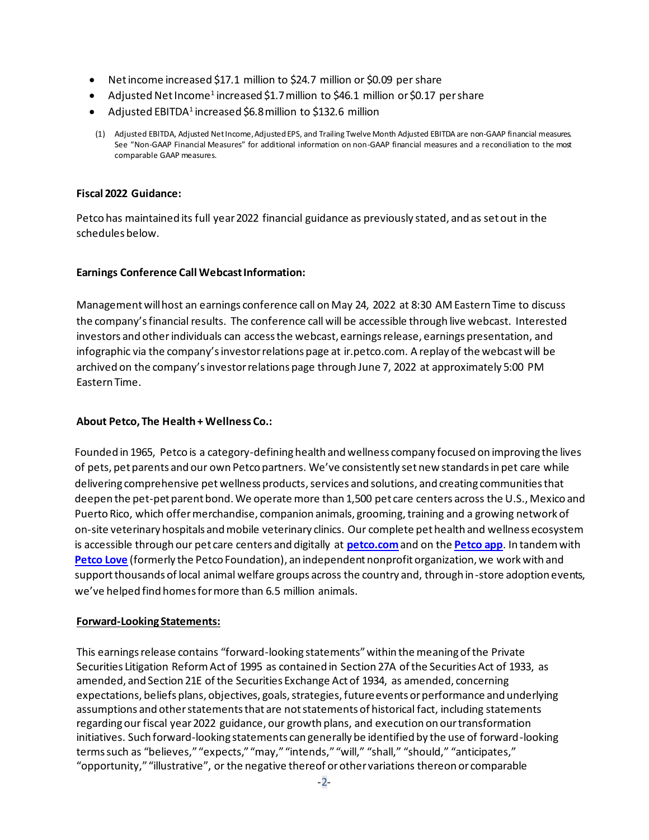- Netincome increased \$17.1 million to \$24.7 million or \$0.09 per share
- Adjusted Net Income<sup>1</sup> increased \$1.7 million to \$46.1 million or \$0.17 per share
- $\bullet$  Adjusted EBITDA<sup>1</sup> increased \$6.8 million to \$132.6 million
- (1) Adjusted EBITDA, Adjusted NetIncome, AdjustedEPS, and Trailing Twelve Month Adjusted EBITDA are non-GAAP financial measures. See "Non-GAAP Financial Measures" for additional information on non-GAAP financial measures and a reconciliation to the most comparable GAAP measures.

# **Fiscal 2022 Guidance:**

Petco has maintained its full year 2022 financial guidance as previously stated, and as set out in the schedules below.

# **Earnings Conference Call Webcast Information:**

Managementwill host an earnings conference call on May 24, 2022 at 8:30 AM Eastern Time to discuss the company'sfinancial results. The conference call will be accessible through live webcast. Interested investors and other individuals can access the webcast, earnings release, earnings presentation, and infographic via the company's investor relations page at ir.petco.com. A replay of the webcast will be archived on the company's investor relations page through June 7, 2022 at approximately 5:00 PM Eastern Time.

# **About Petco, The Health + Wellness Co.:**

Founded in 1965, Petco is a category-defining health and wellness company focused on improving the lives of pets, pet parents and our own Petco partners. We've consistently set new standards in pet care while delivering comprehensive pet wellness products, services and solutions, and creating communities that deepen the pet-pet parent bond. We operate more than 1,500 pet care centers across the U.S., Mexico and Puerto Rico, which offer merchandise, companion animals, grooming, training and a growing network of on-site veterinary hospitals and mobile veterinary clinics. Our complete pet health and wellness ecosystem is accessible through our pet care centers and digitally at **petco.com**and on the **Petco app**. In tandem with **Petco Love** (formerly the Petco Foundation), an independent nonprofit organization, we work with and support thousands of local animal welfare groups across the country and, through in-store adoption events, we've helped find homes for more than 6.5 million animals.

# **Forward-Looking Statements:**

This earnings release contains "forward-looking statements" within the meaning of the Private Securities Litigation Reform Act of 1995 as contained in Section 27A of the Securities Act of 1933, as amended, and Section 21E of the Securities Exchange Act of 1934, as amended, concerning expectations, beliefs plans, objectives, goals, strategies, future events or performance and underlying assumptions and other statements that are not statements of historical fact, including statements regarding our fiscal year 2022 guidance, our growth plans, and execution on our transformation initiatives. Such forward-looking statements can generally be identified by the use of forward-looking terms such as "believes," "expects," "may," "intends," "will," "shall," "should," "anticipates," "opportunity," "illustrative", or the negative thereof or other variations thereon or comparable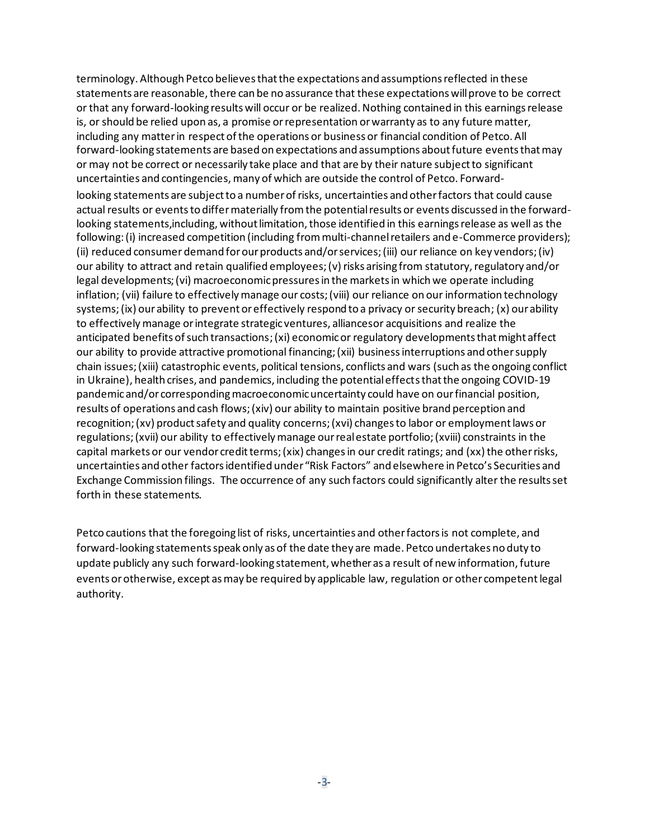terminology. Although Petco believes that the expectations and assumptions reflected in these statements are reasonable, there can be no assurance that these expectations will prove to be correct or that any forward-looking results will occur or be realized. Nothing contained in this earningsrelease is, or should be relied upon as, a promise or representation or warranty as to any future matter, including any matter in respect of the operations or business or financial condition of Petco. All forward-looking statements are based on expectations and assumptions about future events that may or may not be correct or necessarily take place and that are by their nature subject to significant uncertainties and contingencies, many of which are outside the control of Petco. Forwardlooking statements are subject to a number of risks, uncertainties and other factors that could cause actual results or events to differ materially from the potential results or events discussed in the forwardlooking statements,including, without limitation, those identified in this earnings release as well as the following: (i) increased competition (including from multi-channel retailers and e-Commerce providers); (ii) reduced consumer demand for our products and/or services; (iii) our reliance on key vendors; (iv) our ability to attract and retain qualified employees; (v) risks arising from statutory, regulatory and/or legal developments; (vi) macroeconomic pressures in the markets in which we operate including inflation; (vii) failure to effectively manage our costs; (viii) our reliance on our information technology systems; (ix) our ability to prevent or effectively respond to a privacy or security breach; (x) our ability to effectively manage or integrate strategic ventures, alliances or acquisitions and realize the anticipated benefits of such transactions; (xi) economic or regulatory developments that might affect our ability to provide attractive promotional financing; (xii) businessinterruptions and other supply chain issues; (xiii) catastrophic events, political tensions, conflicts and wars (such as the ongoing conflict in Ukraine), health crises, and pandemics, including the potential effects that the ongoing COVID-19 pandemic and/or corresponding macroeconomic uncertainty could have on our financial position, results of operations and cash flows; (xiv) our ability to maintain positive brand perception and recognition; (xv) product safety and quality concerns; (xvi) changes to labor or employment laws or regulations; (xvii) our ability to effectively manage our real estate portfolio; (xviii) constraints in the capital markets or our vendor credit terms; (xix) changes in our credit ratings; and (xx) the other risks, uncertainties and other factors identified under "Risk Factors" and elsewhere in Petco's Securities and Exchange Commission filings. The occurrence of any such factors could significantly alter the results set forth in these statements.

Petco cautions that the foregoing list of risks, uncertainties and other factors is not complete, and forward-looking statements speak only as of the date they are made. Petco undertakes no duty to update publicly any such forward-looking statement, whether as a result of new information, future events or otherwise, except as may be required by applicable law, regulation or other competent legal authority.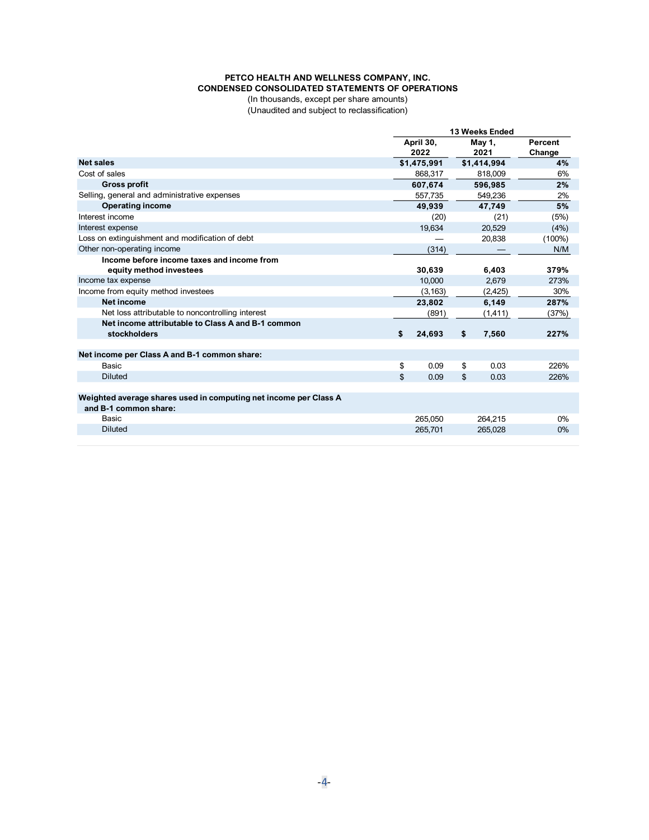#### **PETCO HEALTH AND WELLNESS COMPANY, INC. CONDENSED CONSOLIDATED STATEMENTS OF OPERATIONS**

(In thousands, except per share amounts) (Unaudited and subject to reclassification)

|                                                                                           | <b>13 Weeks Ended</b> |                   |    |                |                   |
|-------------------------------------------------------------------------------------------|-----------------------|-------------------|----|----------------|-------------------|
|                                                                                           |                       | April 30,<br>2022 |    | May 1,<br>2021 | Percent<br>Change |
| <b>Net sales</b>                                                                          |                       | \$1,475,991       |    | \$1,414,994    | 4%                |
| Cost of sales                                                                             |                       | 868.317           |    | 818,009        | 6%                |
| <b>Gross profit</b>                                                                       |                       | 607.674           |    | 596.985        | 2%                |
| Selling, general and administrative expenses                                              |                       | 557.735           |    | 549.236        | 2%                |
| <b>Operating income</b>                                                                   |                       | 49.939            |    | 47,749         | 5%                |
| Interest income                                                                           |                       | (20)              |    | (21)           | (5%)              |
| Interest expense                                                                          |                       | 19,634            |    | 20.529         | (4%)              |
| Loss on extinguishment and modification of debt                                           |                       |                   |    | 20,838         | $(100\%)$         |
| Other non-operating income                                                                |                       | (314)             |    |                | N/M               |
| Income before income taxes and income from<br>equity method investees                     |                       | 30,639            |    | 6,403          | 379%              |
| Income tax expense                                                                        |                       | 10,000            |    | 2,679          | 273%              |
| Income from equity method investees                                                       |                       | (3, 163)          |    | (2, 425)       | 30%               |
| Net income                                                                                |                       | 23,802            |    | 6,149          | 287%              |
| Net loss attributable to noncontrolling interest                                          |                       | (891)             |    | (1,411)        | (37%)             |
| Net income attributable to Class A and B-1 common<br>stockholders                         | \$                    | 24,693            | \$ | 7,560          | 227%              |
| Net income per Class A and B-1 common share:                                              |                       |                   |    |                |                   |
| Basic                                                                                     | \$                    | 0.09              | \$ | 0.03           | 226%              |
| <b>Diluted</b>                                                                            | \$                    | 0.09              | \$ | 0.03           | 226%              |
| Weighted average shares used in computing net income per Class A<br>and B-1 common share: |                       |                   |    |                |                   |
| Basic                                                                                     |                       | 265,050           |    | 264.215        | 0%                |
| <b>Diluted</b>                                                                            |                       | 265.701           |    | 265.028        | 0%                |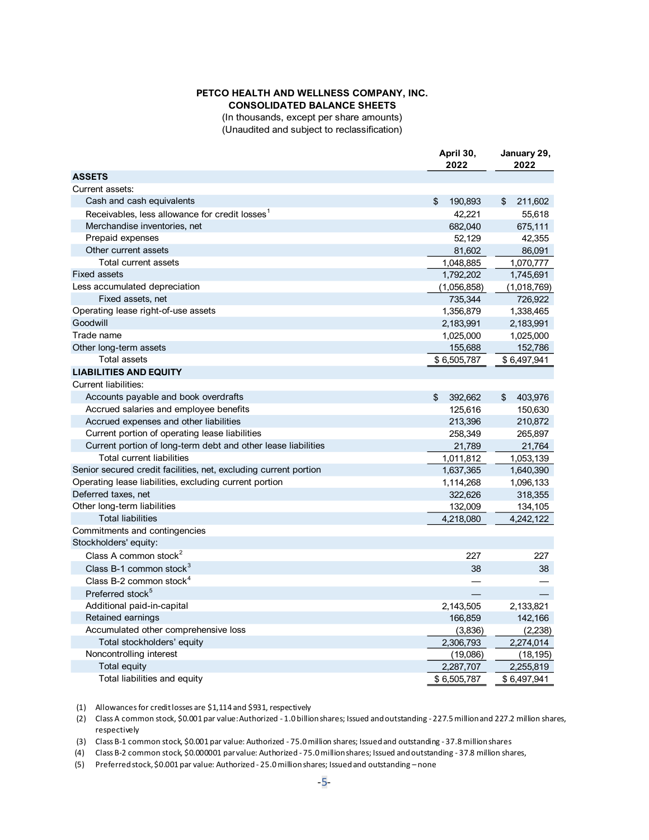## **PETCO HEALTH AND WELLNESS COMPANY, INC. CONSOLIDATED BALANCE SHEETS**

(In thousands, except per share amounts) (Unaudited and subject to reclassification)

|                                                                  | April 30,<br>2022 | January 29,<br>2022 |  |
|------------------------------------------------------------------|-------------------|---------------------|--|
| <b>ASSETS</b>                                                    |                   |                     |  |
| Current assets:                                                  |                   |                     |  |
| Cash and cash equivalents                                        | \$<br>190,893     | \$<br>211,602       |  |
| Receivables, less allowance for credit losses <sup>1</sup>       | 42,221            | 55,618              |  |
| Merchandise inventories, net                                     | 682,040           | 675,111             |  |
| Prepaid expenses                                                 | 52,129            | 42,355              |  |
| Other current assets                                             | 81,602            | 86,091              |  |
| Total current assets                                             | 1,048,885         | 1,070,777           |  |
| <b>Fixed assets</b>                                              | 1,792,202         | 1,745,691           |  |
| Less accumulated depreciation                                    | (1,056,858)       | (1,018,769)         |  |
| Fixed assets, net                                                | 735,344           | 726,922             |  |
| Operating lease right-of-use assets                              | 1,356,879         | 1,338,465           |  |
| Goodwill                                                         | 2,183,991         | 2,183,991           |  |
| Trade name                                                       | 1,025,000         | 1,025,000           |  |
| Other long-term assets                                           | 155,688           | 152,786             |  |
| <b>Total assets</b>                                              | \$6,505,787       | \$6,497,941         |  |
| <b>LIABILITIES AND EQUITY</b>                                    |                   |                     |  |
| <b>Current liabilities:</b>                                      |                   |                     |  |
| Accounts payable and book overdrafts                             | \$<br>392,662     | \$<br>403,976       |  |
| Accrued salaries and employee benefits                           | 125,616           | 150,630             |  |
| Accrued expenses and other liabilities                           | 213,396           | 210,872             |  |
| Current portion of operating lease liabilities                   | 258,349           | 265,897             |  |
| Current portion of long-term debt and other lease liabilities    | 21,789            | 21,764              |  |
| <b>Total current liabilities</b>                                 | 1,011,812         | 1,053,139           |  |
| Senior secured credit facilities, net, excluding current portion | 1,637,365         | 1,640,390           |  |
| Operating lease liabilities, excluding current portion           | 1,114,268         | 1,096,133           |  |
| Deferred taxes, net                                              | 322,626           | 318,355             |  |
| Other long-term liabilities                                      | 132,009           | 134,105             |  |
| <b>Total liabilities</b>                                         | 4,218,080         | 4,242,122           |  |
| Commitments and contingencies                                    |                   |                     |  |
| Stockholders' equity:                                            |                   |                     |  |
| Class A common stock <sup>2</sup>                                | 227               | 227                 |  |
| Class B-1 common stock <sup>3</sup>                              | 38                | 38                  |  |
| Class B-2 common stock <sup>4</sup>                              |                   |                     |  |
| Preferred stock <sup>5</sup>                                     |                   |                     |  |
| Additional paid-in-capital                                       | 2,143,505         | 2,133,821           |  |
| Retained earnings                                                | 166,859           | 142,166             |  |
| Accumulated other comprehensive loss                             | (3,836)           | (2, 238)            |  |
| Total stockholders' equity                                       | 2,306,793         | 2,274,014           |  |
| Noncontrolling interest                                          | (19,086)          | (18, 195)           |  |
| Total equity                                                     | 2,287,707         | 2,255,819           |  |
| Total liabilities and equity                                     | \$6,505,787       | \$6,497,941         |  |

(1) Allowancesfor creditlosses are \$1,114 and \$931, respectively

(2) Class A common stock, \$0.001 par value: Authorized - 1.0 billion shares; Issued and outstanding - 227.5million and 227.2 million shares, respectively

(3) Class B-1 common stock, \$0.001 par value: Authorized - 75.0 million shares; Issued and outstanding - 37.8million shares

(4) Class B-2 common stock, \$0.000001 par value: Authorized - 75.0 million shares; Issued and outstanding - 37.8 million shares,

(5) Preferred stock, \$0.001 par value: Authorized - 25.0 million shares; Issued and outstanding – none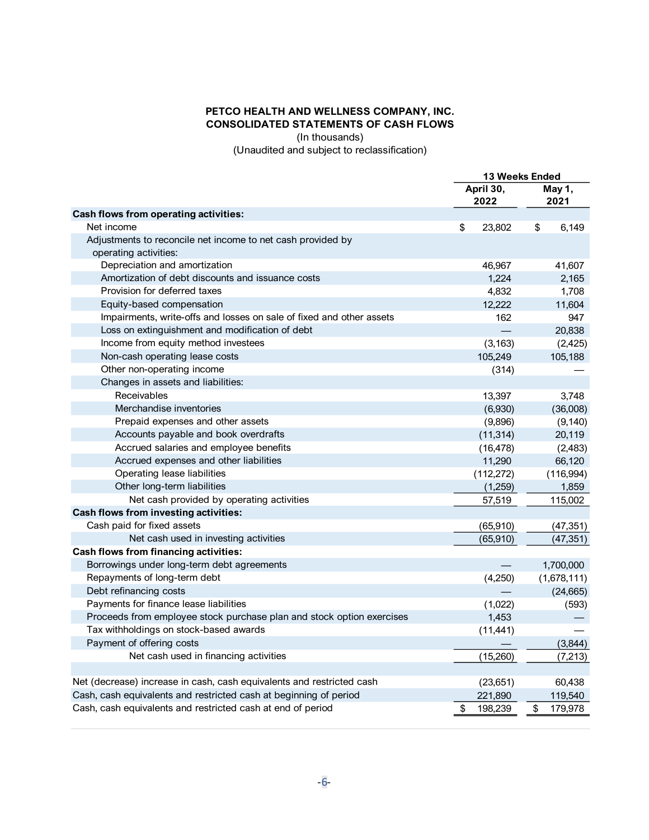# **PETCO HEALTH AND WELLNESS COMPANY, INC. CONSOLIDATED STATEMENTS OF CASH FLOWS**

(In thousands)

(Unaudited and subject to reclassification)

|                                                                       |                   | <b>13 Weeks Ended</b> |  |  |
|-----------------------------------------------------------------------|-------------------|-----------------------|--|--|
|                                                                       | April 30,<br>2022 | May 1,<br>2021        |  |  |
| Cash flows from operating activities:                                 |                   |                       |  |  |
| Net income                                                            | \$<br>23,802      | \$<br>6,149           |  |  |
| Adjustments to reconcile net income to net cash provided by           |                   |                       |  |  |
| operating activities:                                                 |                   |                       |  |  |
| Depreciation and amortization                                         | 46,967            | 41,607                |  |  |
| Amortization of debt discounts and issuance costs                     | 1,224             | 2,165                 |  |  |
| Provision for deferred taxes                                          | 4,832             | 1,708                 |  |  |
| Equity-based compensation                                             | 12,222            | 11,604                |  |  |
| Impairments, write-offs and losses on sale of fixed and other assets  | 162               | 947                   |  |  |
| Loss on extinguishment and modification of debt                       |                   | 20,838                |  |  |
| Income from equity method investees                                   | (3, 163)          | (2, 425)              |  |  |
| Non-cash operating lease costs                                        | 105,249           | 105,188               |  |  |
| Other non-operating income                                            | (314)             |                       |  |  |
| Changes in assets and liabilities:                                    |                   |                       |  |  |
| Receivables                                                           | 13,397            | 3,748                 |  |  |
| Merchandise inventories                                               | (6,930)           | (36,008)              |  |  |
| Prepaid expenses and other assets                                     | (9,896)           | (9, 140)              |  |  |
| Accounts payable and book overdrafts                                  | (11, 314)         | 20,119                |  |  |
| Accrued salaries and employee benefits                                | (16, 478)         | (2, 483)              |  |  |
| Accrued expenses and other liabilities                                | 11,290            | 66,120                |  |  |
| Operating lease liabilities                                           | (112, 272)        | (116,994)             |  |  |
| Other long-term liabilities                                           | (1,259)           | 1,859                 |  |  |
| Net cash provided by operating activities                             | 57,519            | 115,002               |  |  |
| Cash flows from investing activities:                                 |                   |                       |  |  |
| Cash paid for fixed assets                                            | (65, 910)         | (47, 351)             |  |  |
| Net cash used in investing activities                                 | (65, 910)         | (47, 351)             |  |  |
| <b>Cash flows from financing activities:</b>                          |                   |                       |  |  |
| Borrowings under long-term debt agreements                            |                   | 1,700,000             |  |  |
| Repayments of long-term debt                                          | (4,250)           | (1,678,111)           |  |  |
| Debt refinancing costs                                                |                   | (24, 665)             |  |  |
| Payments for finance lease liabilities                                | (1,022)           | (593)                 |  |  |
| Proceeds from employee stock purchase plan and stock option exercises | 1,453             |                       |  |  |
| Tax withholdings on stock-based awards                                | (11, 441)         |                       |  |  |
| Payment of offering costs                                             |                   | (3,844)               |  |  |
| Net cash used in financing activities                                 | (15,260)          | (7, 213)              |  |  |
|                                                                       |                   |                       |  |  |
| Net (decrease) increase in cash, cash equivalents and restricted cash | (23,651)          | 60,438                |  |  |
| Cash, cash equivalents and restricted cash at beginning of period     | 221,890           | 119,540               |  |  |
| Cash, cash equivalents and restricted cash at end of period           | \$<br>198,239     | 179,978<br>\$         |  |  |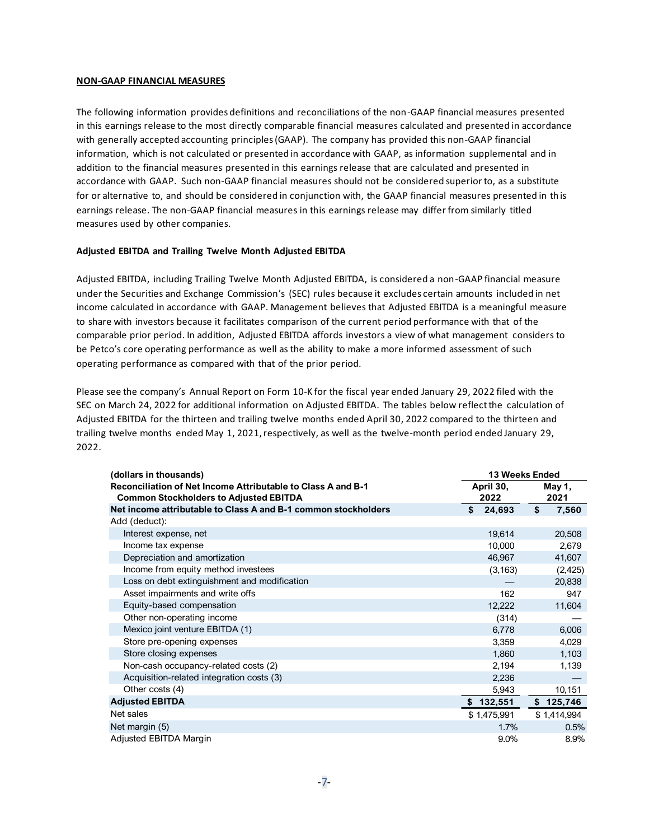### **NON-GAAP FINANCIAL MEASURES**

The following information provides definitions and reconciliations of the non-GAAP financial measures presented in this earnings release to the most directly comparable financial measures calculated and presented in accordance with generally accepted accounting principles (GAAP). The company has provided this non-GAAP financial information, which is not calculated or presented in accordance with GAAP, as information supplemental and in addition to the financial measures presented in this earnings release that are calculated and presented in accordance with GAAP. Such non-GAAP financial measures should not be considered superior to, as a substitute for or alternative to, and should be considered in conjunction with, the GAAP financial measures presented in th is earnings release. The non-GAAP financial measures in this earnings release may differ from similarly titled measures used by other companies.

### **Adjusted EBITDA and Trailing Twelve Month Adjusted EBITDA**

Adjusted EBITDA, including Trailing Twelve Month Adjusted EBITDA, is considered a non-GAAP financial measure under the Securities and Exchange Commission's (SEC) rules because it excludes certain amounts included in net income calculated in accordance with GAAP. Management believes that Adjusted EBITDA is a meaningful measure to share with investors because it facilitates comparison of the current period performance with that of the comparable prior period. In addition, Adjusted EBITDA affords investors a view of what management considers to be Petco's core operating performance as well as the ability to make a more informed assessment of such operating performance as compared with that of the prior period.

Please see the company's Annual Report on Form 10-K for the fiscal year ended January 29, 2022 filed with the SEC on March 24, 2022 for additional information on Adjusted EBITDA. The tables below reflect the calculation of Adjusted EBITDA for the thirteen and trailing twelve months ended April 30, 2022 compared to the thirteen and trailing twelve months ended May 1, 2021, respectively, as well as the twelve-month period ended January 29, 2022.

| (dollars in thousands)                                                                                        | <b>13 Weeks Ended</b> |                |  |
|---------------------------------------------------------------------------------------------------------------|-----------------------|----------------|--|
| Reconciliation of Net Income Attributable to Class A and B-1<br><b>Common Stockholders to Adjusted EBITDA</b> | April 30,<br>2022     | May 1,<br>2021 |  |
| Net income attributable to Class A and B-1 common stockholders                                                | 24,693<br>S           | \$<br>7,560    |  |
| Add (deduct):                                                                                                 |                       |                |  |
| Interest expense, net                                                                                         | 19,614                | 20,508         |  |
| Income tax expense                                                                                            | 10,000                | 2,679          |  |
| Depreciation and amortization                                                                                 | 46,967                | 41,607         |  |
| Income from equity method investees                                                                           | (3, 163)              | (2,425)        |  |
| Loss on debt extinguishment and modification                                                                  |                       | 20,838         |  |
| Asset impairments and write offs                                                                              | 162                   | 947            |  |
| Equity-based compensation                                                                                     | 12,222                | 11,604         |  |
| Other non-operating income                                                                                    | (314)                 |                |  |
| Mexico joint venture EBITDA (1)                                                                               | 6,778                 | 6,006          |  |
| Store pre-opening expenses                                                                                    | 3,359                 | 4,029          |  |
| Store closing expenses                                                                                        | 1,860                 | 1,103          |  |
| Non-cash occupancy-related costs (2)                                                                          | 2,194                 | 1,139          |  |
| Acquisition-related integration costs (3)                                                                     | 2,236                 |                |  |
| Other costs (4)                                                                                               | 5,943                 | 10,151         |  |
| <b>Adjusted EBITDA</b>                                                                                        | 132,551               | \$125,746      |  |
| Net sales                                                                                                     | \$1,475,991           | \$1,414,994    |  |
| Net margin (5)                                                                                                | 1.7%                  | 0.5%           |  |
| Adjusted EBITDA Margin                                                                                        | 9.0%                  | 8.9%           |  |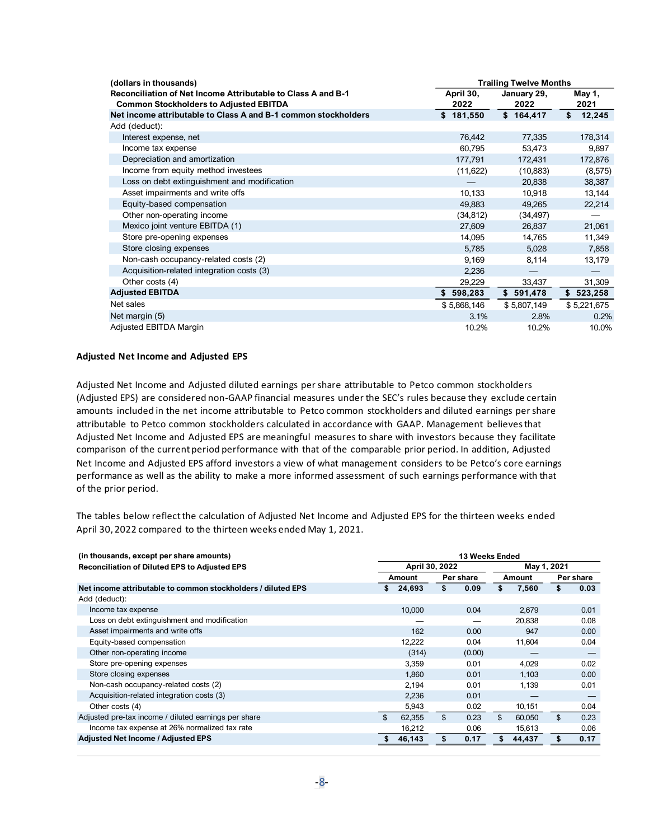| (dollars in thousands)                                                                                        |                   | <b>Trailing Twelve Months</b> |                |  |  |
|---------------------------------------------------------------------------------------------------------------|-------------------|-------------------------------|----------------|--|--|
| Reconciliation of Net Income Attributable to Class A and B-1<br><b>Common Stockholders to Adjusted EBITDA</b> | April 30,<br>2022 | January 29,<br>2022           | May 1,<br>2021 |  |  |
| Net income attributable to Class A and B-1 common stockholders                                                | \$181,550         | \$164,417                     | \$<br>12,245   |  |  |
| Add (deduct):                                                                                                 |                   |                               |                |  |  |
| Interest expense, net                                                                                         | 76,442            | 77,335                        | 178,314        |  |  |
| Income tax expense                                                                                            | 60,795            | 53,473                        | 9,897          |  |  |
| Depreciation and amortization                                                                                 | 177,791           | 172,431                       | 172,876        |  |  |
| Income from equity method investees                                                                           | (11,622)          | (10, 883)                     | (8,575)        |  |  |
| Loss on debt extinguishment and modification                                                                  |                   | 20,838                        | 38,387         |  |  |
| Asset impairments and write offs                                                                              | 10,133            | 10,918                        | 13,144         |  |  |
| Equity-based compensation                                                                                     | 49,883            | 49,265                        | 22,214         |  |  |
| Other non-operating income                                                                                    | (34, 812)         | (34, 497)                     |                |  |  |
| Mexico joint venture EBITDA (1)                                                                               | 27,609            | 26,837                        | 21,061         |  |  |
| Store pre-opening expenses                                                                                    | 14,095            | 14,765                        | 11,349         |  |  |
| Store closing expenses                                                                                        | 5,785             | 5,028                         | 7,858          |  |  |
| Non-cash occupancy-related costs (2)                                                                          | 9,169             | 8,114                         | 13,179         |  |  |
| Acquisition-related integration costs (3)                                                                     | 2,236             |                               |                |  |  |
| Other costs (4)                                                                                               | 29,229            | 33,437                        | 31,309         |  |  |
| <b>Adjusted EBITDA</b>                                                                                        | 598,283<br>\$     | \$591,478                     | \$523,258      |  |  |
| Net sales                                                                                                     | \$5,868,146       | \$5,807,149                   | \$5,221,675    |  |  |
| Net margin (5)                                                                                                | 3.1%              | 2.8%                          | 0.2%           |  |  |
| Adjusted EBITDA Margin                                                                                        | 10.2%             | 10.2%                         | 10.0%          |  |  |

## **Adjusted Net Income and Adjusted EPS**

Adjusted Net Income and Adjusted diluted earnings per share attributable to Petco common stockholders (Adjusted EPS) are considered non-GAAP financial measures under the SEC's rules because they exclude certain amounts included in the net income attributable to Petco common stockholders and diluted earnings per share attributable to Petco common stockholders calculated in accordance with GAAP. Management believes that Adjusted Net Income and Adjusted EPS are meaningful measures to share with investors because they facilitate comparison of the current period performance with that of the comparable prior period. In addition, Adjusted Net Income and Adjusted EPS afford investors a view of what management considers to be Petco's core earnings performance as well as the ability to make a more informed assessment of such earnings performance with that of the prior period.

The tables below reflectthe calculation of Adjusted Net Income and Adjusted EPS for the thirteen weeks ended April 30, 2022 compared to the thirteen weeks ended May 1, 2021.

| (in thousands, except per share amounts)                     | <b>13 Weeks Ended</b>         |            |              |                        |
|--------------------------------------------------------------|-------------------------------|------------|--------------|------------------------|
| <b>Reconciliation of Diluted EPS to Adjusted EPS</b>         | April 30, 2022<br>May 1, 2021 |            |              |                        |
|                                                              | Amount                        | Per share  | Amount       | Per share              |
| Net income attributable to common stockholders / diluted EPS | 24,693<br>\$                  | \$<br>0.09 | \$<br>7,560  | 0.03                   |
| Add (deduct):                                                |                               |            |              |                        |
| Income tax expense                                           | 10,000                        | 0.04       | 2,679        | 0.01                   |
| Loss on debt extinguishment and modification                 |                               |            | 20,838       | 0.08                   |
| Asset impairments and write offs                             | 162                           | 0.00       | 947          | 0.00                   |
| Equity-based compensation                                    | 12,222                        | 0.04       | 11,604       | 0.04                   |
| Other non-operating income                                   | (314)                         | (0.00)     |              |                        |
| Store pre-opening expenses                                   | 3,359                         | 0.01       | 4,029        | 0.02                   |
| Store closing expenses                                       | 1.860                         | 0.01       | 1,103        | 0.00                   |
| Non-cash occupancy-related costs (2)                         | 2,194                         | 0.01       | 1,139        | 0.01                   |
| Acquisition-related integration costs (3)                    | 2,236                         | 0.01       |              |                        |
| Other costs (4)                                              | 5,943                         | 0.02       | 10,151       | 0.04                   |
| Adjusted pre-tax income / diluted earnings per share         | \$.<br>62,355                 | \$<br>0.23 | \$<br>60,050 | $\mathfrak{L}$<br>0.23 |
| Income tax expense at 26% normalized tax rate                | 16,212                        | 0.06       | 15,613       | 0.06                   |
| <b>Adjusted Net Income / Adjusted EPS</b>                    | 46,143                        | \$<br>0.17 | 44,437<br>\$ | 0.17                   |